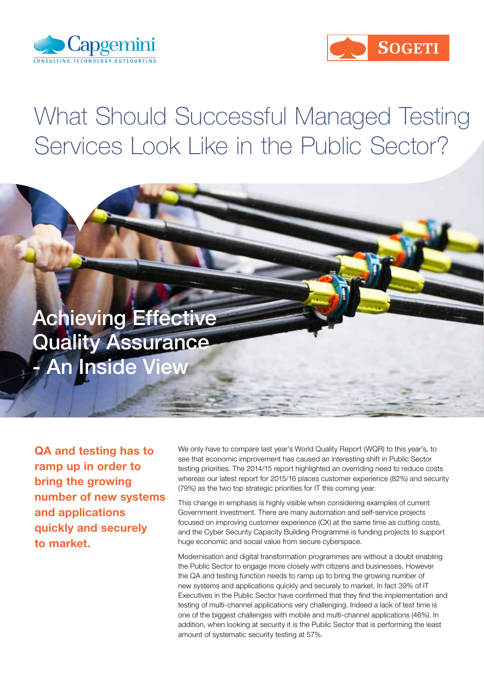



# What Should Successful Managed Testing Services Look Like in the Public Sector?

**Achieving Effective** Quality Assurance - An Inside View

QA and testing has to ramp up in order to bring the growing number of new systems and applications quickly and securely to market.

We only have to compare last year's World Quality Report (WQR) to this year's, to see that economic improvement has caused an interesting shift in Public Sector testing priorities. The 2014/15 report highlighted an overriding need to reduce costs whereas our latest report for 2015/16 places customer experience (82%) and security (79%) as the two top strategic priorities for IT this coming year.

This change in emphasis is highly visible when considering examples of current Government investment. There are many automation and self-service projects focused on improving customer experience (CX) at the same time as cutting costs, and the Cyber Security Capacity Building Programme is funding projects to support huge economic and social value from secure cyberspace.

Modernisation and digital transformation programmes are without a doubt enabling the Public Sector to engage more closely with citizens and businesses. However the QA and testing function needs to ramp up to bring the growing number of new systems and applications quickly and securely to market. In fact 39% of IT Executives in the Public Sector have confirmed that they find the implementation and testing of multi-channel applications very challenging. Indeed a lack of test time is one of the biggest challenges with mobile and multi-channel applications (46%). In addition, when looking at security it is the Public Sector that is performing the least amount of systematic security testing at 57%.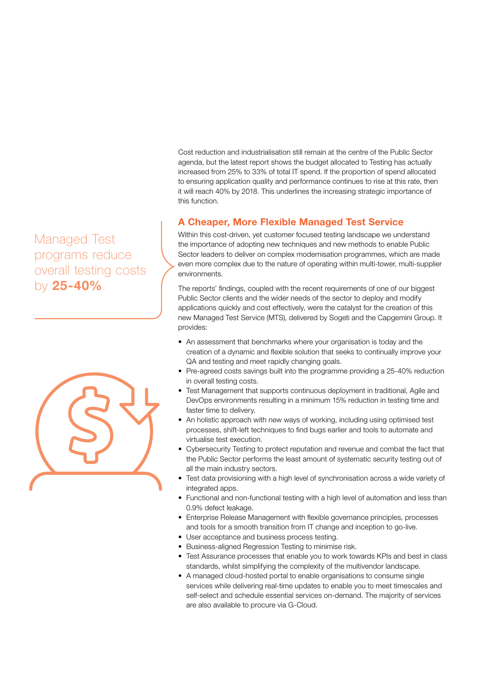Cost reduction and industrialisation still remain at the centre of the Public Sector agenda, but the latest report shows the budget allocated to Testing has actually increased from 25% to 33% of total IT spend. If the proportion of spend allocated to ensuring application quality and performance continues to rise at this rate, then it will reach 40% by 2018. This underlines the increasing strategic importance of this function.

### A Cheaper, More Flexible Managed Test Service

Within this cost-driven, yet customer focused testing landscape we understand the importance of adopting new techniques and new methods to enable Public Sector leaders to deliver on complex modernisation programmes, which are made even more complex due to the nature of operating within multi-tower, multi-supplier environments.

The reports' findings, coupled with the recent requirements of one of our biggest Public Sector clients and the wider needs of the sector to deploy and modify applications quickly and cost effectively, were the catalyst for the creation of this new Managed Test Service (MTS), delivered by Sogeti and the Capgemini Group. It provides:

- An assessment that benchmarks where your organisation is today and the creation of a dynamic and flexible solution that seeks to continually improve your QA and testing and meet rapidly changing goals.
- Pre-agreed costs savings built into the programme providing a 25-40% reduction in overall testing costs.
- Test Management that supports continuous deployment in traditional, Agile and DevOps environments resulting in a minimum 15% reduction in testing time and faster time to delivery.
- An holistic approach with new ways of working, including using optimised test processes, shift-left techniques to find bugs earlier and tools to automate and virtualise test execution.
- Cybersecurity Testing to protect reputation and revenue and combat the fact that the Public Sector performs the least amount of systematic security testing out of all the main industry sectors.
- Test data provisioning with a high level of synchronisation across a wide variety of integrated apps.
- Functional and non-functional testing with a high level of automation and less than 0.9% defect leakage.
- Enterprise Release Management with flexible governance principles, processes and tools for a smooth transition from IT change and inception to go-live.
- User acceptance and business process testing.
- Business-aligned Regression Testing to minimise risk.
- Test Assurance processes that enable you to work towards KPIs and best in class standards, whilst simplifying the complexity of the multivendor landscape.
- A managed cloud-hosted portal to enable organisations to consume single services while delivering real-time updates to enable you to meet timescales and self-select and schedule essential services on-demand. The majority of services are also available to procure via G-Cloud.

# Managed Test programs reduce overall testing costs by 25-40%

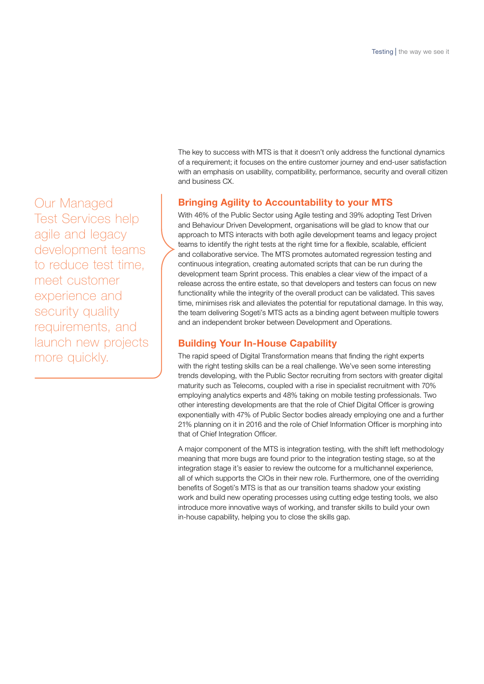Our Managed Test Services help agile and legacy development teams to reduce test time, meet customer experience and security quality requirements, and launch new projects more quickly.

The key to success with MTS is that it doesn't only address the functional dynamics of a requirement; it focuses on the entire customer journey and end-user satisfaction with an emphasis on usability, compatibility, performance, security and overall citizen and business CX.

## Bringing Agility to Accountability to your MTS

With 46% of the Public Sector using Agile testing and 39% adopting Test Driven and Behaviour Driven Development, organisations will be glad to know that our approach to MTS interacts with both agile development teams and legacy project teams to identify the right tests at the right time for a flexible, scalable, efficient and collaborative service. The MTS promotes automated regression testing and continuous integration, creating automated scripts that can be run during the development team Sprint process. This enables a clear view of the impact of a release across the entire estate, so that developers and testers can focus on new functionality while the integrity of the overall product can be validated. This saves time, minimises risk and alleviates the potential for reputational damage. In this way, the team delivering Sogeti's MTS acts as a binding agent between multiple towers and an independent broker between Development and Operations.

### Building Your In-House Capability

The rapid speed of Digital Transformation means that finding the right experts with the right testing skills can be a real challenge. We've seen some interesting trends developing, with the Public Sector recruiting from sectors with greater digital maturity such as Telecoms, coupled with a rise in specialist recruitment with 70% employing analytics experts and 48% taking on mobile testing professionals. Two other interesting developments are that the role of Chief Digital Officer is growing exponentially with 47% of Public Sector bodies already employing one and a further 21% planning on it in 2016 and the role of Chief Information Officer is morphing into that of Chief Integration Officer.

A major component of the MTS is integration testing, with the shift left methodology meaning that more bugs are found prior to the integration testing stage, so at the integration stage it's easier to review the outcome for a multichannel experience, all of which supports the CIOs in their new role. Furthermore, one of the overriding benefits of Sogeti's MTS is that as our transition teams shadow your existing work and build new operating processes using cutting edge testing tools, we also introduce more innovative ways of working, and transfer skills to build your own in-house capability, helping you to close the skills gap.